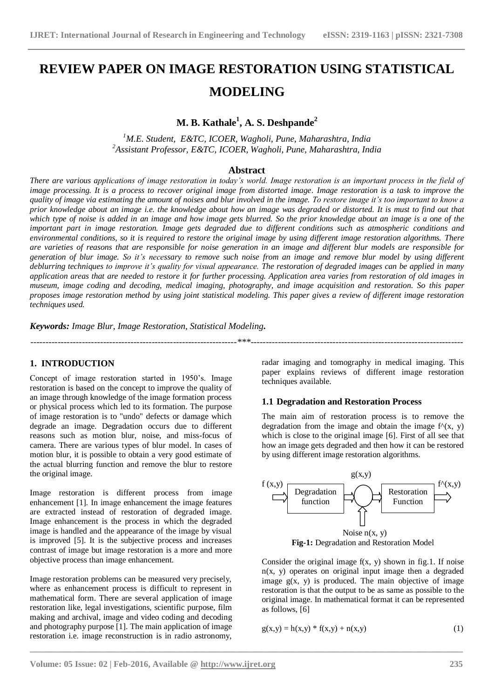# **REVIEW PAPER ON IMAGE RESTORATION USING STATISTICAL MODELING**

# **M. B. Kathale<sup>1</sup> , A. S. Deshpande<sup>2</sup>**

*<sup>1</sup>M.E. Student, E&TC, ICOER, Wagholi, Pune, Maharashtra, India <sup>2</sup>Assistant Professor, E&TC, ICOER, Wagholi, Pune, Maharashtra, India*

# **Abstract**

*There are various applications of image restoration in today's world. Image restoration is an important process in the field of image processing. It is a process to recover original image from distorted image. Image restoration is a task to improve the quality of image via estimating the amount of noises and blur involved in the image. To restore image it's too important to know a prior knowledge about an image i.e. the knowledge about how an image was degraded or distorted. It is must to find out that which type of noise is added in an image and how image gets blurred. So the prior knowledge about an image is a one of the important part in image restoration. Image gets degraded due to different conditions such as atmospheric conditions and environmental conditions, so it is required to restore the original image by using different image restoration algorithms. There are varieties of reasons that are responsible for noise generation in an image and different blur models are responsible for generation of blur image. So it's necessary to remove such noise from an image and remove blur model by using different deblurring techniques to improve it's quality for visual appearance. The restoration of degraded images can be applied in many application areas that are needed to restore it for further processing. Application area varies from restoration of old images in museum, image coding and decoding, medical imaging, photography, and image acquisition and restoration. So this paper proposes image restoration method by using joint statistical modeling. This paper gives a review of different image restoration techniques used.*

*--------------------------------------------------------------------\*\*\*----------------------------------------------------------------------*

**\_\_\_\_\_\_\_\_\_\_\_\_\_\_\_\_\_\_\_\_\_\_\_\_\_\_\_\_\_\_\_\_\_\_\_\_\_\_\_\_\_\_\_\_\_\_\_\_\_\_\_\_\_\_\_\_\_\_\_\_\_\_\_\_\_\_\_\_\_\_\_\_\_\_\_\_\_\_\_\_\_\_\_\_\_\_\_**

*Keywords: Image Blur, Image Restoration, Statistical Modeling.*

# **1. INTRODUCTION**

Concept of image restoration started in 1950"s. Image restoration is based on the concept to improve the quality of an image through knowledge of the image formation process or physical process which led to its formation. The purpose of image restoration is to "undo" defects or damage which degrade an image. Degradation occurs due to different reasons such as motion blur, noise, and miss-focus of camera. There are various types of blur model. In cases of motion blur, it is possible to obtain a very good estimate of the actual blurring function and remove the blur to restore the original image.

Image restoration is different process from image enhancement [1]. In image enhancement the image features are extracted instead of restoration of degraded image. Image enhancement is the process in which the degraded image is handled and the appearance of the image by visual is improved [5]. It is the subjective process and increases contrast of image but image restoration is a more and more objective process than image enhancement.

Image restoration problems can be measured very precisely, where as enhancement process is difficult to represent in mathematical form. There are several application of image restoration like, legal investigations, scientific purpose, film making and archival, image and video coding and decoding and photography purpose [1]. The main application of image restoration i.e. image reconstruction is in radio astronomy,

radar imaging and tomography in medical imaging. This paper explains reviews of different image restoration techniques available.

#### **1.1 Degradation and Restoration Process**

The main aim of restoration process is to remove the degradation from the image and obtain the image  $f^{\wedge}(x, y)$ which is close to the original image [6]. First of all see that how an image gets degraded and then how it can be restored by using different image restoration algorithms.



Consider the original image  $f(x, y)$  shown in fig.1. If noise  $n(x, y)$  operates on original input image then a degraded image  $g(x, y)$  is produced. The main objective of image restoration is that the output to be as same as possible to the original image. In mathematical format it can be represented as follows, [6]

$$
g(x,y) = h(x,y) * f(x,y) + n(x,y)
$$
 (1)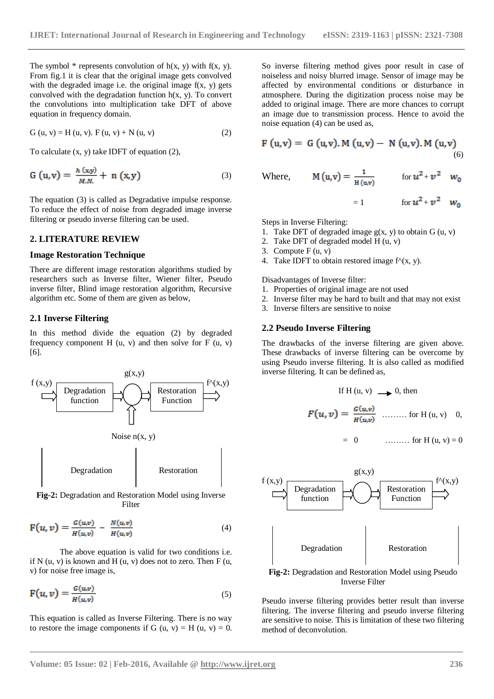$= 1$  for  $u^2 + v^2$   $w_0$ 

The symbol  $*$  represents convolution of  $h(x, y)$  with  $f(x, y)$ . From fig.1 it is clear that the original image gets convolved with the degraded image i.e. the original image  $f(x, y)$  gets convolved with the degradation function  $h(x, y)$ . To convert the convolutions into multiplication take DFT of above equation in frequency domain.

$$
G (u, v) = H (u, v). F (u, v) + N (u, v)
$$
 (2)

To calculate (x, y) take IDFT of equation (2),

$$
G(u,v) = \frac{h(x,y)}{M.N.} + n(x,y) \tag{3}
$$

The equation (3) is called as Degradative impulse response. To reduce the effect of noise from degraded image inverse filtering or pseudo inverse filtering can be used.

### **2. LITERATURE REVIEW**

#### **Image Restoration Technique**

There are different image restoration algorithms studied by researchers such as Inverse filter, Wiener filter, Pseudo inverse filter, Blind image restoration algorithm, Recursive algorithm etc. Some of them are given as below,

#### **2.1 Inverse Filtering**

In this method divide the equation (2) by degraded frequency component H  $(u, v)$  and then solve for F  $(u, v)$ [6].



**Fig-2:** Degradation and Restoration Model using Inverse Filter

$$
F(u, v) = \frac{G(u,v)}{H(u,v)} - \frac{N(u,v)}{H(u,v)}
$$
(4)

The above equation is valid for two conditions i.e. if N  $(u, v)$  is known and H  $(u, v)$  does not to zero. Then F  $(u, v)$ v) for noise free image is,

$$
F(u, v) = \frac{G(u,v)}{H(u,v)}
$$
\n(5)

This equation is called as Inverse Filtering. There is no way to restore the image components if G  $(u, v) = H(u, v) = 0$ . So inverse filtering method gives poor result in case of noiseless and noisy blurred image. Sensor of image may be affected by environmental conditions or disturbance in atmosphere. During the digitization process noise may be added to original image. There are more chances to corrupt an image due to transmission process. Hence to avoid the noise equation (4) can be used as,

$$
F(u,v) = G(u,v). M(u,v) - N(u,v). M(u,v)
$$
\n(6)

Where, 
$$
M(u,v) = \frac{1}{H(u,v)}
$$
 for  $u^2 + v^2$   $w_0$ 

Steps in Inverse Filtering:

- 1. Take DFT of degraded image  $g(x, y)$  to obtain  $G(u, v)$
- 2. Take DFT of degraded model H (u, v)
- 3. Compute  $F(u, v)$
- 4. Take IDFT to obtain restored image  $f^{\wedge}(x, y)$ .

Disadvantages of Inverse filter:

- 1. Properties of original image are not used
- 2. Inverse filter may be hard to built and that may not exist
- 3. Inverse filters are sensitive to noise

#### **2.2 Pseudo Inverse Filtering**

The drawbacks of the inverse filtering are given above. These drawbacks of inverse filtering can be overcome by using Pseudo inverse filtering. It is also called as modified inverse filtering. It can be defined as,

If H (u, v) 
$$
\longrightarrow
$$
 0, then  

$$
F(u, v) = \frac{G(u, v)}{H(u, v)} \quad \dots \dots \quad \text{for H (u, v)} \quad 0,
$$

= 0 ……… for H (u, v) = 0



Inverse Filter

Pseudo inverse filtering provides better result than inverse filtering. The inverse filtering and pseudo inverse filtering are sensitive to noise. This is limitation of these two filtering method of deconvolution.

**\_\_\_\_\_\_\_\_\_\_\_\_\_\_\_\_\_\_\_\_\_\_\_\_\_\_\_\_\_\_\_\_\_\_\_\_\_\_\_\_\_\_\_\_\_\_\_\_\_\_\_\_\_\_\_\_\_\_\_\_\_\_\_\_\_\_\_\_\_\_\_\_\_\_\_\_\_\_\_\_\_\_\_\_\_\_\_**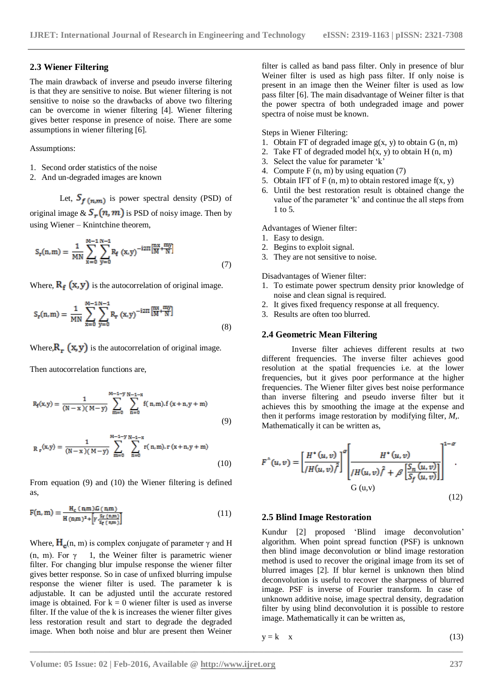#### **2.3 Wiener Filtering**

The main drawback of inverse and pseudo inverse filtering is that they are sensitive to noise. But wiener filtering is not sensitive to noise so the drawbacks of above two filtering can be overcome in wiener filtering [4]. Wiener filtering gives better response in presence of noise. There are some assumptions in wiener filtering [6].

#### Assumptions:

- 1. Second order statistics of the noise
- 2. And un-degraded images are known

Let,  $S_{f(n,m)}$  is power spectral density (PSD) of

original image  $\& S_r(n, m)$  is PSD of noisy image. Then by using Wiener – Knintchine theorem,

$$
S_{r}(n,m) = \frac{1}{MN} \sum_{x=0}^{M-1} \sum_{y=0}^{N-1} R_{f}(x,y)^{-i2\Pi} \frac{\left[\begin{array}{c} nx & my \\ M^{+}N \end{array}\right]}{(7)}
$$

Where,  $R_f(x, y)$  is the autocorrelation of original image.

$$
S_{r}(n,m) = \frac{1}{MN} \sum_{x=0}^{M-1} \sum_{y=0}^{N-1} R_{r}(x,y)^{-i2\Pi} \frac{m x}{M} + \frac{m y}{N} \tag{8}
$$

Where,  $\mathbf{R}_r$  (x, y) is the autocorrelation of original image.

Then autocorrelation functions are,

$$
R_f(x,y) = \frac{1}{(N-x)(M-y)} \sum_{m=0}^{M-1-y} \sum_{n=0}^{N-1-x} f(n,m).f(x+n,y+m)
$$
\n(9)

$$
R_r(x,y) = \frac{1}{(N-x)(M-y)} \sum_{m=0}^{M-1-y} \sum_{n=0}^{N-1-x} r(n,m), r (x+n, y+m)
$$
\n(10)

From equation (9) and (10) the Wiener filtering is defined as,

$$
F(n, m) = \frac{H_c(n, m) G(n, m)}{H(n, m)^2 + \left[\gamma \cdot \frac{S_r(n, m)}{S_f(n, m)}\right]}
$$
(11)

Where,  $H_c(n, m)$  is complex conjugate of parameter  $\gamma$  and H (n, m). For  $\gamma$  1, the Weiner filter is parametric wiener filter. For changing blur impulse response the wiener filter gives better response. So in case of unfixed blurring impulse response the wiener filter is used. The parameter k is adjustable. It can be adjusted until the accurate restored image is obtained. For  $k = 0$  wiener filter is used as inverse filter. If the value of the k is increases the wiener filter gives less restoration result and start to degrade the degraded image. When both noise and blur are present then Weiner

filter is called as band pass filter. Only in presence of blur Weiner filter is used as high pass filter. If only noise is present in an image then the Weiner filter is used as low pass filter [6]. The main disadvantage of Weiner filter is that the power spectra of both undegraded image and power spectra of noise must be known.

Steps in Wiener Filtering:

- 1. Obtain FT of degraded image  $g(x, y)$  to obtain G  $(n, m)$
- 2. Take FT of degraded model  $h(x, y)$  to obtain H  $(n, m)$
- 3. Select the value for parameter "k"
- 4. Compute  $F(n, m)$  by using equation (7)
- 5. Obtain IFT of F  $(n, m)$  to obtain restored image  $f(x, y)$
- 6. Until the best restoration result is obtained change the value of the parameter "k" and continue the all steps from 1 to 5.

Advantages of Wiener filter:

- 1. Easy to design.
- 2. Begins to exploit signal.
- 3. They are not sensitive to noise.

Disadvantages of Wiener filter:

- 1. To estimate power spectrum density prior knowledge of noise and clean signal is required.
- 2. It gives fixed frequency response at all frequency.
- 3. Results are often too blurred.

#### **2.4 Geometric Mean Filtering**

Inverse filter achieves different results at two different frequencies. The inverse filter achieves good resolution at the spatial frequencies i.e. at the lower frequencies, but it gives poor performance at the higher frequencies. The Wiener filter gives best noise performance than inverse filtering and pseudo inverse filter but it achieves this by smoothing the image at the expense and then it performs image restoration by modifying filter, *M,.*  Mathematically it can be written as,

$$
F^{(u,v)} = \left[\frac{H^*(u,v)}{H(u,v)}\right]^{\alpha} \left[\frac{H^*(u,v)}{H(u,v)^{\beta} + \beta \left[\frac{S_n(u,v)}{S_f(u,v)}\right]}\right]^{1-\alpha}
$$
  
G (u,v)

#### **2.5 Blind Image Restoration**

Kundur [2] proposed "Blind image deconvolution" algorithm. When point spread function (PSF) is unknown then blind image deconvolution or blind image restoration method is used to recover the original image from its set of blurred images [2]. If blur kernel is unknown then blind deconvolution is useful to recover the sharpness of blurred image. PSF is inverse of Fourier transform. In case of unknown additive noise, image spectral density, degradation filter by using blind deconvolution it is possible to restore image. Mathematically it can be written as,

$$
y = k \t x \t(13)
$$

**\_\_\_\_\_\_\_\_\_\_\_\_\_\_\_\_\_\_\_\_\_\_\_\_\_\_\_\_\_\_\_\_\_\_\_\_\_\_\_\_\_\_\_\_\_\_\_\_\_\_\_\_\_\_\_\_\_\_\_\_\_\_\_\_\_\_\_\_\_\_\_\_\_\_\_\_\_\_\_\_\_\_\_\_\_\_\_**